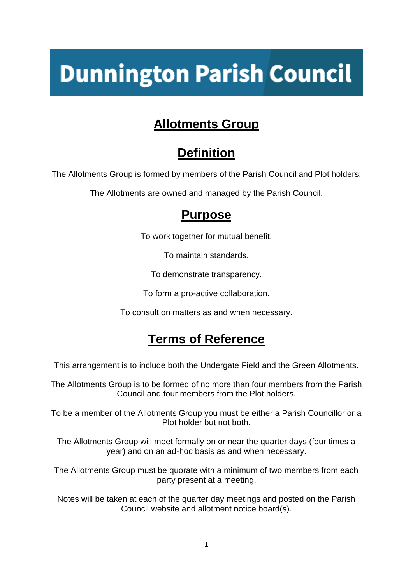# **Dunnington Parish Council**

## **Allotments Group**

# **Definition**

The Allotments Group is formed by members of the Parish Council and Plot holders.

The Allotments are owned and managed by the Parish Council.

#### **Purpose**

To work together for mutual benefit.

To maintain standards.

To demonstrate transparency.

To form a pro-active collaboration.

To consult on matters as and when necessary.

## **Terms of Reference**

This arrangement is to include both the Undergate Field and the Green Allotments.

The Allotments Group is to be formed of no more than four members from the Parish Council and four members from the Plot holders.

To be a member of the Allotments Group you must be either a Parish Councillor or a Plot holder but not both.

The Allotments Group will meet formally on or near the quarter days (four times a year) and on an ad-hoc basis as and when necessary.

The Allotments Group must be quorate with a minimum of two members from each party present at a meeting.

Notes will be taken at each of the quarter day meetings and posted on the Parish Council website and allotment notice board(s).